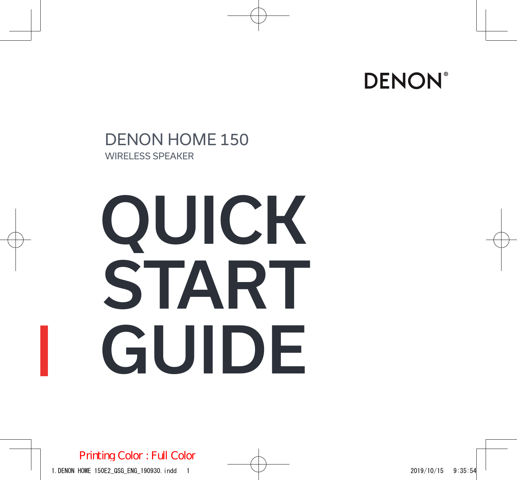

## DENON HOME 150 WIRELESS SPEAKER

# QUICK START GUIDE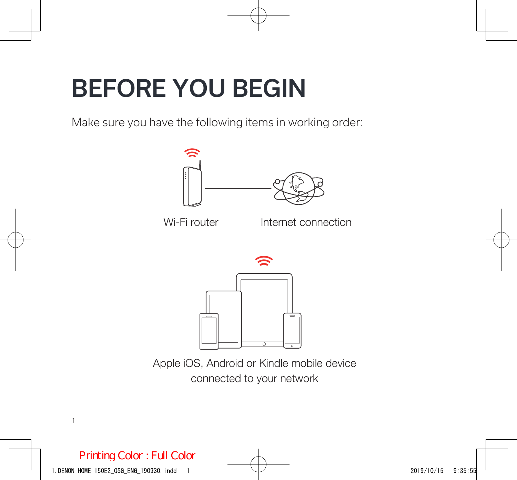# BEFORE YOU BEGIN

Make sure you have the following items in working order:



Apple iOS, Android or Kindle mobile device connected to your network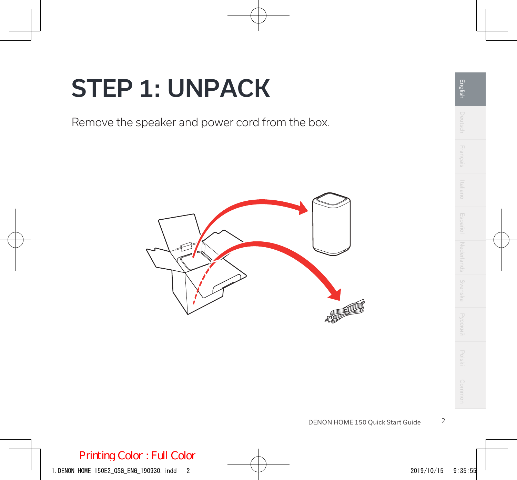# STEP 1: UNPACK

Remove the speaker and power cord from the box.

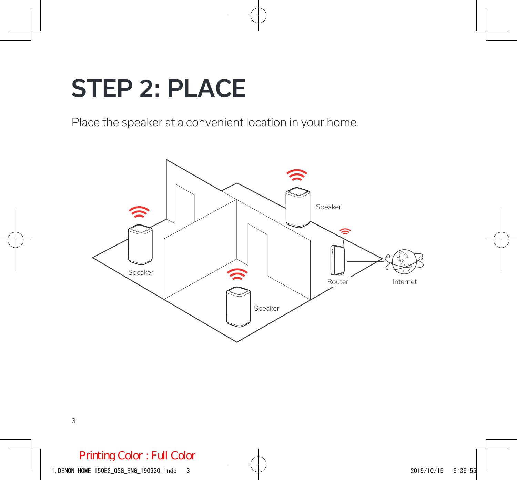# STEP 2: PLACE

Place the speaker at a convenient location in your home.

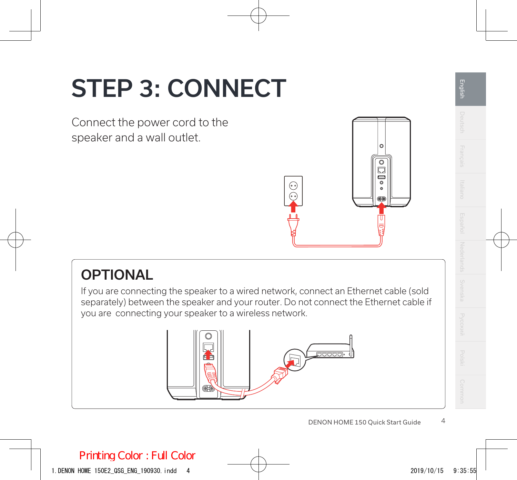# STEP 3: CONNECT

Connect the power cord to the speaker and a wall outlet.



# **OPTIONAL**

If you are connecting the speaker to a wired network, connect an Ethernet cable (sold separately) between the speaker and your router. Do not connect the Ethernet cable if you are connecting your speaker to a wireless network.

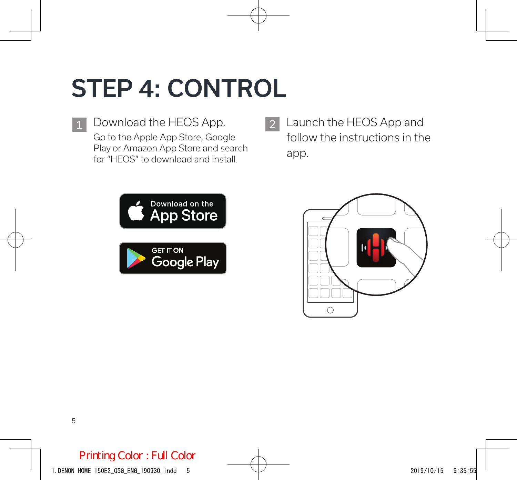# STEP 4: CONTROL

1 Download the HEOS App. 2 Go to the Apple App Store, Google Play or Amazon App Store and search for "HEOS" to download and install.

Launch the HEOS App and follow the instructions in the app.



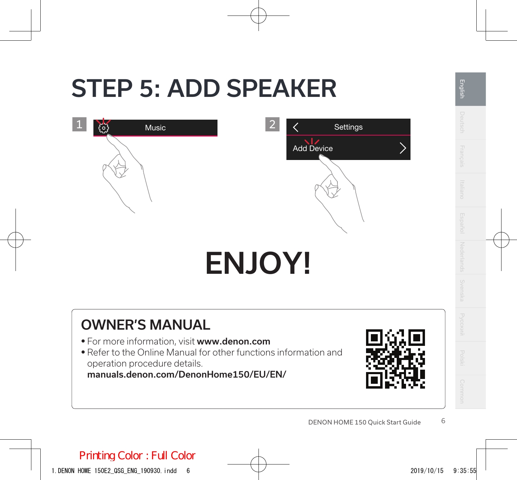# STEP 5: ADD SPEAKER



# ENJOY!

# OWNER'S MANUAL

- For more information, visit www.denon.com
- Refer to the Online Manual for other functions information and operation procedure details.

manuals.denon.com/DenonHome150/EU/EN/



**Franjsh P**olski Français Hangais Halano Español Nederlands Svenska Pycokiri Polski Polski Polski Polski Polski

English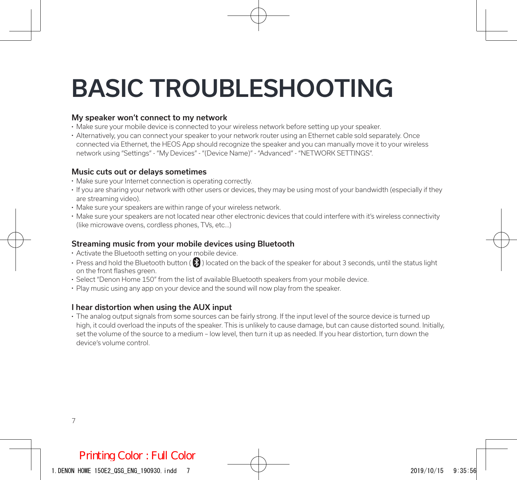# BASIC TROUBLESHOOTING

### My speaker won't connect to my network

- Make sure your mobile device is connected to your wireless network before setting up your speaker.
- Alternatively, you can connect your speaker to your network router using an Ethernet cable sold separately. Once connected via Ethernet, the HEOS App should recognize the speaker and you can manually move it to your wireless network using "Settings" - "My Devices" - "(Device Name)" - "Advanced" - "NETWORK SETTINGS".

#### Music cuts out or delays sometimes

- Make sure your Internet connection is operating correctly.
- If you are sharing your network with other users or devices, they may be using most of your bandwidth (especially if they are streaming video).
- Make sure your speakers are within range of your wireless network.
- Make sure your speakers are not located near other electronic devices that could interfere with it's wireless connectivity (like microwave ovens, cordless phones, TVs, etc…)

### Streaming music from your mobile devices using Bluetooth

- Activate the Bluetooth setting on your mobile device.
- Press and hold the Bluetooth button ( $\bigcirc$ ) located on the back of the speaker for about 3 seconds, until the status light on the front flashes green.
- Select "Denon Home 150" from the list of available Bluetooth speakers from your mobile device.
- Play music using any app on your device and the sound will now play from the speaker.

### I hear distortion when using the AUX input

• The analog output signals from some sources can be fairly strong. If the input level of the source device is turned up high, it could overload the inputs of the speaker. This is unlikely to cause damage, but can cause distorted sound. Initially, set the volume of the source to a medium – low level, then turn it up as needed. If you hear distortion, turn down the device's volume control.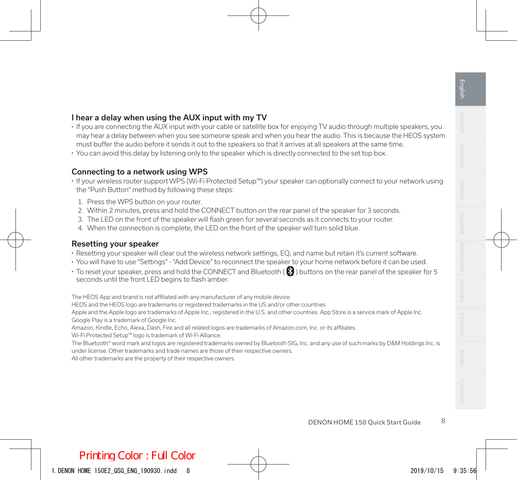### I hear a delay when using the AUX input with my TV

- If you are connecting the AUX input with your cable or satellite box for enjoying TV audio through multiple speakers, you may hear a delay between when you see someone speak and when you hear the audio. This is because the HEOS system must buffer the audio before it sends it out to the speakers so that it arrives at all speakers at the same time.
- You can avoid this delay by listening only to the speaker which is directly connected to the set top box.

### Connecting to a network using WPS

- If your wireless router support WPS (Wi-Fi Protected Setup™) your speaker can optionally connect to your network using the "Push Button" method by following these steps:
	- 1. Press the WPS button on your router.
	- 2. Within 2 minutes, press and hold the CONNECT button on the rear panel of the speaker for 3 seconds.
	- 3. The LED on the front of the speaker will flash green for several seconds as it connects to your router.
	- 4. When the connection is complete, the LED on the front of the speaker will turn solid blue.

### Resetting your speaker

- Resetting your speaker will clear out the wireless network settings, EQ, and name but retain it's current software.
- You will have to use "Settings" "Add Device" to reconnect the speaker to your home network before it can be used.
- To reset your speaker, press and hold the CONNECT and Bluetooth ( $\odot$ ) buttons on the rear panel of the speaker for 5 seconds until the front LED begins to flash amber.

The HEOS App and brand is not affiliated with any manufacturer of any mobile device.

HEOS and the HEOS logo are trademarks or registered trademarks in the US and/or other countries.

Apple and the Apple logo are trademarks of Apple Inc., registered in the U.S. and other countries. App Store is a service mark of Apple Inc. Google Play is a trademark of Google Inc.

Amazon, Kindle, Echo, Alexa, Dash, Fire and all related logos are trademarks of Amazon.com, Inc. or its affiliates.

Wi-Fi Protected Setup™ logo is trademark of Wi-Fi Alliance.

The Bluetooth® word mark and logos are registered trademarks owned by Bluetooth SIG, Inc. and any use of such marks by D&M Holdings Inc. is under license. Other trademarks and trade names are those of their respective owners.

All other trademarks are the property of their respective owners.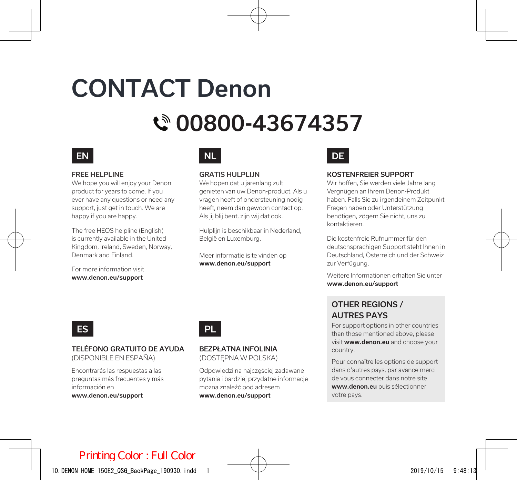# CONTACT Denon € 00800-43674357

### EN

#### FREE HELPLINE

We hope you will enjoy your Denon product for years to come. If you ever have any questions or need any support, just get in touch. We are happy if you are happy.

The free HEOS helpline (English) is currently available in the United Kingdom, Ireland, Sweden, Norway, Denmark and Finland.

For more information visit www.denon.eu/support



#### GRATIS HULPLIJN

We hopen dat u jarenlang zult genieten van uw Denon-product. Als u vragen heeft of ondersteuning nodig heeft, neem dan gewoon contact op. Als jij blij bent, zijn wij dat ook.

Hulplijn is beschikbaar in Nederland, België en Luxemburg.

Meer informatie is te vinden op www.denon.eu/support



#### KOSTENFREIER SUPPORT

Wir hoffen, Sie werden viele Jahre lang Vergnügen an Ihrem Denon-Produkt haben. Falls Sie zu irgendeinem Zeitpunkt Fragen haben oder Unterstützung benötigen, zögern Sie nicht, uns zu kontaktieren.

Die kostenfreie Rufnummer für den deutschsprachigen Support steht Ihnen in Deutschland, Österreich und der Schweiz zur Verfügung.

Weitere Informationen erhalten Sie unter www.denon.eu/support

### OTHER REGIONS / AUTRES PAYS

For support options in other countries than those mentioned above, please visit www.denon.eu and choose your country.

Pour connaître les options de support dans d'autres pays, par avance merci de vous connecter dans notre site www.denon.eu puis sélectionner votre pays.

### ES

#### TELÉFONO GRATUITO DE AYUDA (DISPONIBLE EN ESPAÑA)

Encontrarás las respuestas a las preguntas más frecuentes y más información en www.denon.eu/support



#### BEZPŁATNA INFOLINIA (DOSTĘPNA W POLSKA)

Odpowiedzi na najczęściej zadawane pytania i bardziej przydatne informacje można znaleźć pod adresem www.denon.eu/support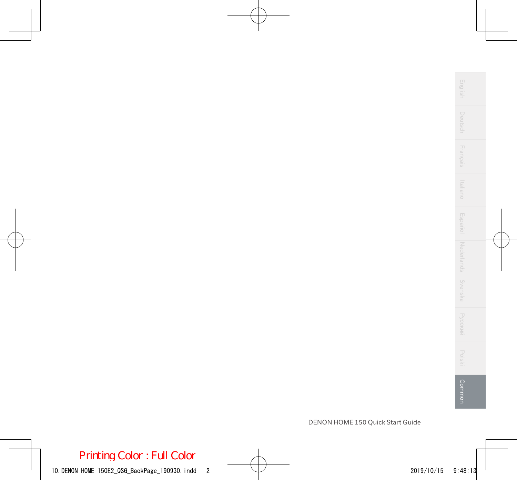| <b>Lindilish</b><br>1 |
|-----------------------|
| <b>LDSTIGO</b>        |
| ĩ<br>۱<br>-rancals    |
| <b>OUBIBITION</b>     |
| <b>LSDanoi</b><br>۱   |
| Nederlands<br>l       |
| <b>SVensk</b><br>ô    |
| ÿ<br><b>VICCK VIV</b> |
| Polski                |
| Common                |